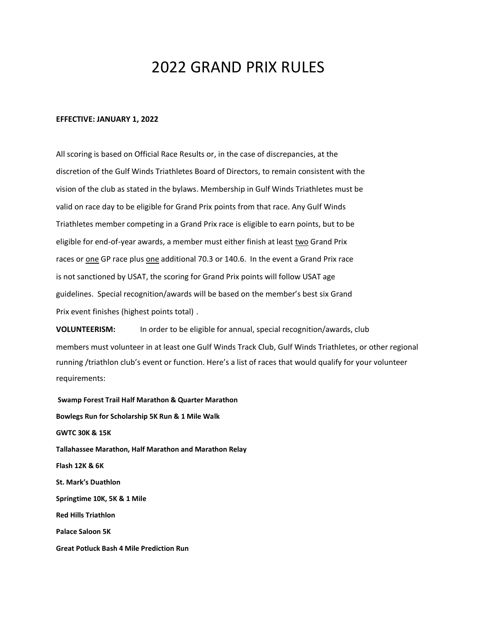## 2022 GRAND PRIX RULES

## **EFFECTIVE: JANUARY 1, 2022**

All scoring is based on Official Race Results or, in the case of discrepancies, at the discretion of the Gulf Winds Triathletes Board of Directors, to remain consistent with the vision of the club as stated in the bylaws. Membership in Gulf Winds Triathletes must be valid on race day to be eligible for Grand Prix points from that race. Any Gulf Winds Triathletes member competing in a Grand Prix race is eligible to earn points, but to be eligible for end-of-year awards, a member must either finish at least two Grand Prix races or one GP race plus one additional 70.3 or 140.6. In the event a Grand Prix race is not sanctioned by USAT, the scoring for Grand Prix points will follow USAT age guidelines. Special recognition/awards will be based on the member's best six Grand Prix event finishes (highest points total) .

**VOLUNTEERISM:** In order to be eligible for annual, special recognition/awards, club members must volunteer in at least one Gulf Winds Track Club, Gulf Winds Triathletes, or other regional running /triathlon club's event or function. Here's a list of races that would qualify for your volunteer requirements:

**Swamp Forest Trail Half Marathon & Quarter Marathon Bowlegs Run for Scholarship 5K Run & 1 Mile Walk GWTC 30K & 15K Tallahassee Marathon, Half Marathon and Marathon Relay Flash 12K & 6K St. Mark's Duathlon Springtime 10K, 5K & 1 Mile Red Hills Triathlon Palace Saloon 5K Great Potluck Bash 4 Mile Prediction Run**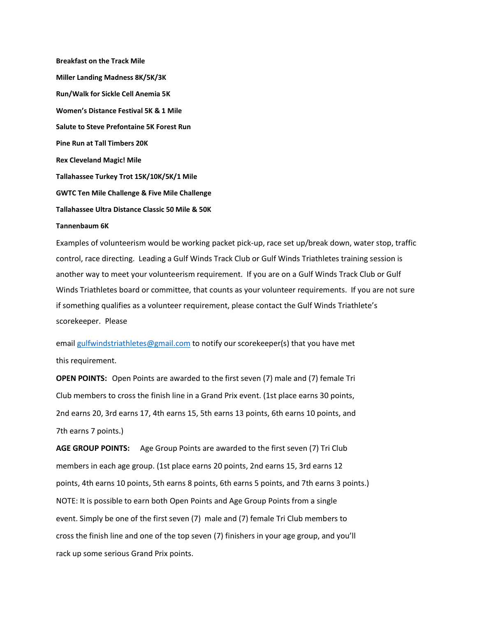**Breakfast on the Track Mile Miller Landing Madness 8K/5K/3K Run/Walk for Sickle Cell Anemia 5K Women's Distance Festival 5K & 1 Mile Salute to Steve Prefontaine 5K Forest Run Pine Run at Tall Timbers 20K Rex Cleveland Magic! Mile Tallahassee Turkey Trot 15K/10K/5K/1 Mile GWTC Ten Mile Challenge & Five Mile Challenge Tallahassee Ultra Distance Classic 50 Mile & 50K Tannenbaum 6K**

Examples of volunteerism would be working packet pick-up, race set up/break down, water stop, traffic control, race directing. Leading a Gulf Winds Track Club or Gulf Winds Triathletes training session is another way to meet your volunteerism requirement. If you are on a Gulf Winds Track Club or Gulf Winds Triathletes board or committee, that counts as your volunteer requirements. If you are not sure if something qualifies as a volunteer requirement, please contact the Gulf Winds Triathlete's scorekeeper. Please

email [gulfwindstriathletes@gmail.com](mailto:gulfwindstriathletes@gmail.com) to notify our scorekeeper(s) that you have met this requirement.

**OPEN POINTS:** Open Points are awarded to the first seven (7) male and (7) female Tri Club members to cross the finish line in a Grand Prix event. (1st place earns 30 points, 2nd earns 20, 3rd earns 17, 4th earns 15, 5th earns 13 points, 6th earns 10 points, and 7th earns 7 points.)

**AGE GROUP POINTS:** Age Group Points are awarded to the first seven (7) Tri Club members in each age group. (1st place earns 20 points, 2nd earns 15, 3rd earns 12 points, 4th earns 10 points, 5th earns 8 points, 6th earns 5 points, and 7th earns 3 points.) NOTE: It is possible to earn both Open Points and Age Group Points from a single event. Simply be one of the first seven (7) male and (7) female Tri Club members to cross the finish line and one of the top seven (7) finishers in your age group, and you'll rack up some serious Grand Prix points.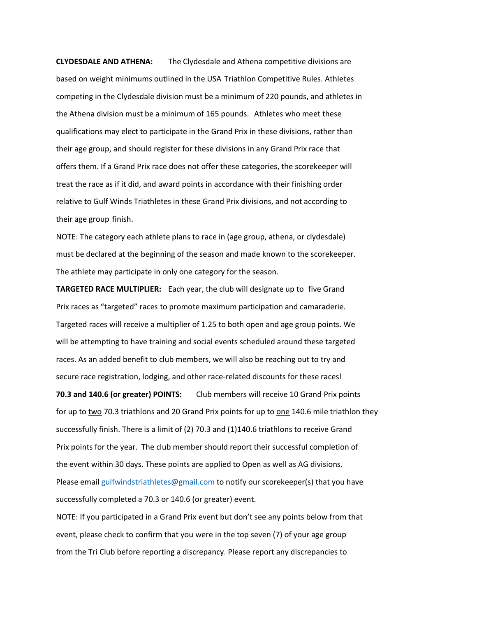**CLYDESDALE AND ATHENA:** The Clydesdale and Athena competitive divisions are based on weight minimums outlined in the USA Triathlon Competitive Rules. Athletes competing in the Clydesdale division must be a minimum of 220 pounds, and athletes in the Athena division must be a minimum of 165 pounds. Athletes who meet these qualifications may elect to participate in the Grand Prix in these divisions, rather than their age group, and should register for these divisions in any Grand Prix race that offers them. If a Grand Prix race does not offer these categories, the scorekeeper will treat the race as if it did, and award points in accordance with their finishing order relative to Gulf Winds Triathletes in these Grand Prix divisions, and not according to their age group finish.

NOTE: The category each athlete plans to race in (age group, athena, or clydesdale) must be declared at the beginning of the season and made known to the scorekeeper. The athlete may participate in only one category for the season.

**TARGETED RACE MULTIPLIER:** Each year, the club will designate up to five Grand Prix races as "targeted" races to promote maximum participation and camaraderie. Targeted races will receive a multiplier of 1.25 to both open and age group points. We will be attempting to have training and social events scheduled around these targeted races. As an added benefit to club members, we will also be reaching out to try and secure race registration, lodging, and other race-related discounts for these races!

**70.3 and 140.6 (or greater) POINTS:** Club members will receive 10 Grand Prix points for up to two 70.3 triathlons and 20 Grand Prix points for up to one 140.6 mile triathlon they successfully finish. There is a limit of (2) 70.3 and (1)140.6 triathlons to receive Grand Prix points for the year. The club member should report their successful completion of the event within 30 days. These points are applied to Open as well as AG divisions. Please email [gulfwindstriathletes@gmail.com](mailto:gulfwindstriathletes@gmail.com) to notify our scorekeeper(s) that you have successfully completed a 70.3 or 140.6 (or greater) event.

NOTE: If you participated in a Grand Prix event but don't see any points below from that event, please check to confirm that you were in the top seven (7) of your age group from the Tri Club before reporting a discrepancy. Please report any discrepancies to